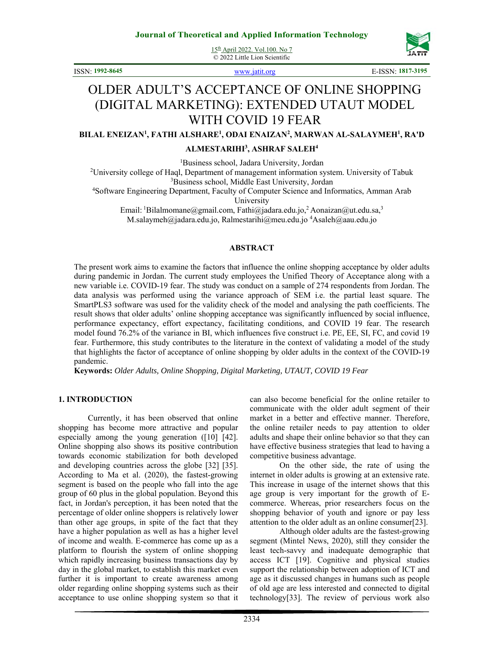15th April 2022. Vol.100. No 7 © 2022 Little Lion Scientific





ISSN: **1992-8645** www.jatit.org E-ISSN: **1817-3195**

# OLDER ADULT'S ACCEPTANCE OF ONLINE SHOPPING (DIGITAL MARKETING): EXTENDED UTAUT MODEL WITH COVID 19 FEAR

**BILAL ENEIZAN1 , FATHI ALSHARE1 , ODAI ENAIZAN2 , MARWAN AL-SALAYMEH1 , RA'D** 

#### **ALMESTARIHI3 , ASHRAF SALEH4**

<sup>1</sup>Business school, Jadara University, Jordan

<sup>1</sup>Business school, Jadara University, Jordan<br><sup>2</sup>University college of Haql, Department of management information system. University of Tabuk <sup>3</sup>Business school, Middle East University, Jordan

<sup>3</sup>Business school, Middle East University, Jordan <sup>4</sup>Software Engineering Department, Faculty of Computer Science and Informatics, Amman Arab

University

Email: <sup>1</sup>Bilalmomane@gmail.com, Fathi@jadara.edu.jo, <sup>2</sup>Aonaizan@ut.edu.sa,<sup>3</sup>

M.salaymeh@jadara.edu.jo, Ralmestarihi@meu.edu.jo 4 Asaleh@aau.edu.jo

#### **ABSTRACT**

The present work aims to examine the factors that influence the online shopping acceptance by older adults during pandemic in Jordan. The current study employees the Unified Theory of Acceptance along with a new variable i.e. COVID-19 fear. The study was conduct on a sample of 274 respondents from Jordan. The data analysis was performed using the variance approach of SEM i.e. the partial least square. The SmartPLS3 software was used for the validity check of the model and analysing the path coefficients. The result shows that older adults' online shopping acceptance was significantly influenced by social influence, performance expectancy, effort expectancy, facilitating conditions, and COVID 19 fear. The research model found 76.2% of the variance in BI, which influences five construct i.e. PE, EE, SI, FC, and covid 19 fear. Furthermore, this study contributes to the literature in the context of validating a model of the study that highlights the factor of acceptance of online shopping by older adults in the context of the COVID-19 pandemic.

**Keywords:** *Older Adults, Online Shopping, Digital Marketing, UTAUT, COVID 19 Fear* 

#### **1. INTRODUCTION**

Currently, it has been observed that online shopping has become more attractive and popular especially among the young generation ([10] [42]. Online shopping also shows its positive contribution towards economic stabilization for both developed and developing countries across the globe [32] [35]. According to Ma et al. (2020), the fastest-growing segment is based on the people who fall into the age group of 60 plus in the global population. Beyond this fact, in Jordan's perception, it has been noted that the percentage of older online shoppers is relatively lower than other age groups, in spite of the fact that they have a higher population as well as has a higher level of income and wealth. E-commerce has come up as a platform to flourish the system of online shopping which rapidly increasing business transactions day by day in the global market, to establish this market even further it is important to create awareness among older regarding online shopping systems such as their acceptance to use online shopping system so that it

can also become beneficial for the online retailer to communicate with the older adult segment of their market in a better and effective manner. Therefore, the online retailer needs to pay attention to older adults and shape their online behavior so that they can have effective business strategies that lead to having a competitive business advantage.

On the other side, the rate of using the internet in older adults is growing at an extensive rate. This increase in usage of the internet shows that this age group is very important for the growth of Ecommerce. Whereas, prior researchers focus on the shopping behavior of youth and ignore or pay less attention to the older adult as an online consumer[23].

Although older adults are the fastest-growing segment (Mintel News, 2020), still they consider the least tech-savvy and inadequate demographic that access ICT [19]. Cognitive and physical studies support the relationship between adoption of ICT and age as it discussed changes in humans such as people of old age are less interested and connected to digital technology[33]. The review of pervious work also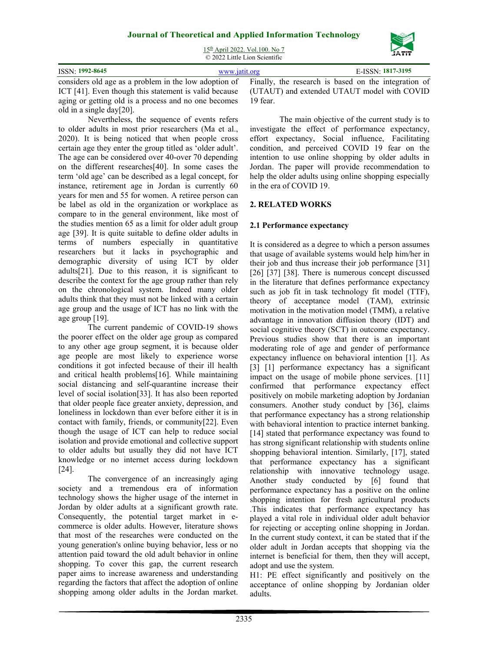# **Journal of Theoretical and Applied Information Technology**  15th April 2022. Vol.100. No 7



|                                                                                                            | ------        |          |                                             |  |
|------------------------------------------------------------------------------------------------------------|---------------|----------|---------------------------------------------|--|
| <b>ISSN: 1992-8645</b>                                                                                     | www.jatit.org |          | E-ISSN: 1817-3195                           |  |
| considers old age as a problem in the low adoption of Finally, the research is based on the integration of |               |          |                                             |  |
| ICT [41]. Even though this statement is valid because                                                      |               |          | (UTAUT) and extended UTAUT model with COVID |  |
| aging or getting old is a process and no one becomes                                                       |               | 19 fear. |                                             |  |

old in a single day[20]. Nevertheless, the sequence of events refers to older adults in most prior researchers (Ma et al., 2020). It is being noticed that when people cross certain age they enter the group titled as 'older adult'. The age can be considered over 40-over 70 depending on the different researches[40]. In some cases the term 'old age' can be described as a legal concept, for instance, retirement age in Jordan is currently 60 years for men and 55 for women. A retiree person can be label as old in the organization or workplace as compare to in the general environment, like most of the studies mention 65 as a limit for older adult group age [39]. It is quite suitable to define older adults in terms of numbers especially in quantitative researchers but it lacks in psychographic and demographic diversity of using ICT by older adults[21]. Due to this reason, it is significant to describe the context for the age group rather than rely on the chronological system. Indeed many older adults think that they must not be linked with a certain age group and the usage of ICT has no link with the age group [19].

The current pandemic of COVID-19 shows the poorer effect on the older age group as compared to any other age group segment, it is because older age people are most likely to experience worse conditions it got infected because of their ill health and critical health problems[16]. While maintaining social distancing and self-quarantine increase their level of social isolation[33]. It has also been reported that older people face greater anxiety, depression, and loneliness in lockdown than ever before either it is in contact with family, friends, or community[22]. Even though the usage of ICT can help to reduce social isolation and provide emotional and collective support to older adults but usually they did not have ICT knowledge or no internet access during lockdown [24].

The convergence of an increasingly aging society and a tremendous era of information technology shows the higher usage of the internet in Jordan by older adults at a significant growth rate. Consequently, the potential target market in ecommerce is older adults. However, literature shows that most of the researches were conducted on the young generation's online buying behavior, less or no attention paid toward the old adult behavior in online shopping. To cover this gap, the current research paper aims to increase awareness and understanding regarding the factors that affect the adoption of online shopping among older adults in the Jordan market.

19 fear. The main objective of the current study is to investigate the effect of performance expectancy, effort expectancy, Social influence, Facilitating condition, and perceived COVID 19 fear on the intention to use online shopping by older adults in Jordan. The paper will provide recommendation to

help the older adults using online shopping especially

### **2. RELATED WORKS**

in the era of COVID 19.

#### **2.1 Performance expectancy**

It is considered as a degree to which a person assumes that usage of available systems would help him/her in their job and thus increase their job performance [31] [26] [37] [38]. There is numerous concept discussed in the literature that defines performance expectancy such as job fit in task technology fit model (TTF), theory of acceptance model (TAM), extrinsic motivation in the motivation model (TMM), a relative advantage in innovation diffusion theory (IDT) and social cognitive theory (SCT) in outcome expectancy. Previous studies show that there is an important moderating role of age and gender of performance expectancy influence on behavioral intention [1]. As [3] [1] performance expectancy has a significant impact on the usage of mobile phone services. [11] confirmed that performance expectancy effect positively on mobile marketing adoption by Jordanian consumers. Another study conduct by [36], claims that performance expectancy has a strong relationship with behavioral intention to practice internet banking. [14] stated that performance expectancy was found to has strong significant relationship with students online shopping behavioral intention. Similarly, [17], stated that performance expectancy has a significant relationship with innovative technology usage. Another study conducted by [6] found that performance expectancy has a positive on the online shopping intention for fresh agricultural products .This indicates that performance expectancy has played a vital role in individual older adult behavior for rejecting or accepting online shopping in Jordan. In the current study context, it can be stated that if the older adult in Jordan accepts that shopping via the internet is beneficial for them, then they will accept, adopt and use the system.

H1: PE effect significantly and positively on the acceptance of online shopping by Jordanian older adults.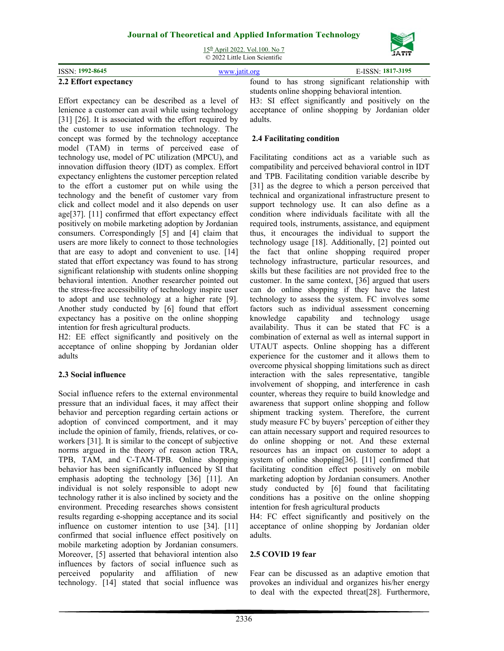# **Journal of Theoretical and Applied Information Technology**  15th April 2022. Vol.100. No 7



|                       | <b>JAII</b>       |                                                   |
|-----------------------|-------------------|---------------------------------------------------|
| ISSN: 1992-8645       | E-ISSN: 1817-3195 |                                                   |
| 2.2 Effort expectancy |                   | found to has strong significant relationship with |

adults.

Effort expectancy can be described as a level of lenience a customer can avail while using technology [31] [26]. It is associated with the effort required by the customer to use information technology. The concept was formed by the technology acceptance model (TAM) in terms of perceived ease of technology use, model of PC utilization (MPCU), and innovation diffusion theory (IDT) as complex. Effort expectancy enlightens the customer perception related to the effort a customer put on while using the technology and the benefit of customer vary from click and collect model and it also depends on user age[37]. [11] confirmed that effort expectancy effect positively on mobile marketing adoption by Jordanian consumers. Correspondingly [5] and [4] claim that users are more likely to connect to those technologies that are easy to adopt and convenient to use. [14] stated that effort expectancy was found to has strong significant relationship with students online shopping behavioral intention. Another researcher pointed out the stress-free accessibility of technology inspire user to adopt and use technology at a higher rate [9]. Another study conducted by [6] found that effort expectancy has a positive on the online shopping intention for fresh agricultural products.

H2: EE effect significantly and positively on the acceptance of online shopping by Jordanian older adults

# **2.3 Social influence**

Social influence refers to the external environmental pressure that an individual faces, it may affect their behavior and perception regarding certain actions or adoption of convinced comportment, and it may include the opinion of family, friends, relatives, or coworkers [31]. It is similar to the concept of subjective norms argued in the theory of reason action TRA, TPB, TAM, and C-TAM-TPB. Online shopping behavior has been significantly influenced by SI that emphasis adopting the technology [36] [11]. An individual is not solely responsible to adopt new technology rather it is also inclined by society and the environment. Preceding researches shows consistent results regarding e-shopping acceptance and its social influence on customer intention to use [34]. [11] confirmed that social influence effect positively on mobile marketing adoption by Jordanian consumers. Moreover, [5] asserted that behavioral intention also influences by factors of social influence such as perceived popularity and affiliation of new technology. [14] stated that social influence was

students online shopping behavioral intention. H3: SI effect significantly and positively on the acceptance of online shopping by Jordanian older

# **2.4 Facilitating condition**

Facilitating conditions act as a variable such as compatibility and perceived behavioral control in IDT and TPB. Facilitating condition variable describe by [31] as the degree to which a person perceived that technical and organizational infrastructure present to support technology use. It can also define as a condition where individuals facilitate with all the required tools, instruments, assistance, and equipment thus, it encourages the individual to support the technology usage [18]. Additionally, [2] pointed out the fact that online shopping required proper technology infrastructure, particular resources, and skills but these facilities are not provided free to the customer. In the same context, [36] argued that users can do online shopping if they have the latest technology to assess the system. FC involves some factors such as individual assessment concerning knowledge capability and technology usage availability. Thus it can be stated that FC is a combination of external as well as internal support in UTAUT aspects. Online shopping has a different experience for the customer and it allows them to overcome physical shopping limitations such as direct interaction with the sales representative, tangible involvement of shopping, and interference in cash counter, whereas they require to build knowledge and awareness that support online shopping and follow shipment tracking system. Therefore, the current study measure FC by buyers' perception of either they can attain necessary support and required resources to do online shopping or not. And these external resources has an impact on customer to adopt a system of online shopping[36]. [11] confirmed that facilitating condition effect positively on mobile marketing adoption by Jordanian consumers. Another study conducted by [6] found that facilitating conditions has a positive on the online shopping intention for fresh agricultural products

H4: FC effect significantly and positively on the acceptance of online shopping by Jordanian older adults.

#### **2.5 COVID 19 fear**

Fear can be discussed as an adaptive emotion that provokes an individual and organizes his/her energy to deal with the expected threat[28]. Furthermore,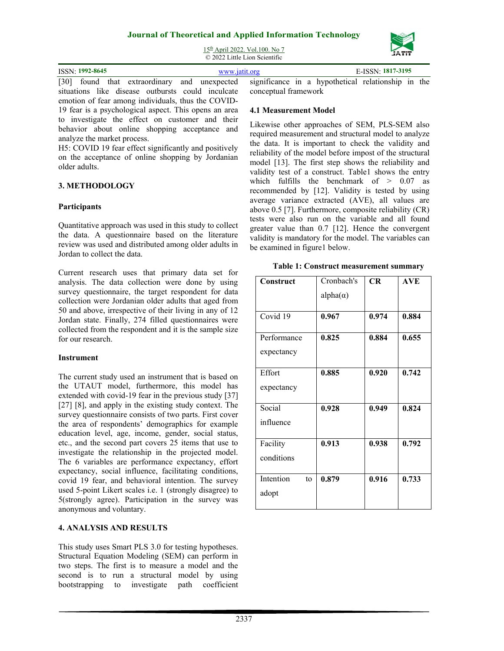

15th April 2022. Vol.100. No 7 © 2022 Little Lion Scientific

| ISSN: 1992-8645 |  |  |  | JSSN: 1817-3195                                                                                                     |
|-----------------|--|--|--|---------------------------------------------------------------------------------------------------------------------|
|                 |  |  |  | بالمرامين والملاحظ والمستحل والمستحدث والمستكرات والمستحدث والمستحدث والمستحدث والمستحدث والمسار والمستحكم والالتان |

[30] found that extraordinary and unexpected situations like disease outbursts could inculcate emotion of fear among individuals, thus the COVID-19 fear is a psychological aspect. This opens an area to investigate the effect on customer and their behavior about online shopping acceptance and analyze the market process.

H5: COVID 19 fear effect significantly and positively on the acceptance of online shopping by Jordanian older adults.

#### **3. METHODOLOGY**

#### **Participants**

Quantitative approach was used in this study to collect the data. A questionnaire based on the literature review was used and distributed among older adults in Jordan to collect the data.

Current research uses that primary data set for analysis. The data collection were done by using survey questionnaire, the target respondent for data collection were Jordanian older adults that aged from 50 and above, irrespective of their living in any of 12 Jordan state. Finally, 274 filled questionnaires were collected from the respondent and it is the sample size for our research.

#### **Instrument**

The current study used an instrument that is based on the UTAUT model, furthermore, this model has extended with covid-19 fear in the previous study [37] [27] [8], and apply in the existing study context. The survey questionnaire consists of two parts. First cover the area of respondents' demographics for example education level, age, income, gender, social status, etc., and the second part covers 25 items that use to investigate the relationship in the projected model. The 6 variables are performance expectancy, effort expectancy, social influence, facilitating conditions, covid 19 fear, and behavioral intention. The survey used 5-point Likert scales i.e. 1 (strongly disagree) to 5(strongly agree). Participation in the survey was anonymous and voluntary.

#### **4. ANALYSIS AND RESULTS**

This study uses Smart PLS 3.0 for testing hypotheses. Structural Equation Modeling (SEM) can perform in two steps. The first is to measure a model and the second is to run a structural model by using bootstrapping to investigate path coefficient significance in a hypothetical relationship in the conceptual framework

#### **4.1 Measurement Model**

Likewise other approaches of SEM, PLS-SEM also required measurement and structural model to analyze the data. It is important to check the validity and reliability of the model before impost of the structural model [13]. The first step shows the reliability and validity test of a construct. Table1 shows the entry which fulfills the benchmark of  $> 0.07$  as recommended by [12]. Validity is tested by using average variance extracted (AVE), all values are above 0.5 [7]. Furthermore, composite reliability (CR) tests were also run on the variable and all found greater value than 0.7 [12]. Hence the convergent validity is mandatory for the model. The variables can be examined in figure1 below.

|  |  | Table 1: Construct measurement summary |  |
|--|--|----------------------------------------|--|
|--|--|----------------------------------------|--|

| Construct       | Cronbach's      | <b>CR</b> | <b>AVE</b> |
|-----------------|-----------------|-----------|------------|
|                 | $alpha(\alpha)$ |           |            |
|                 |                 |           |            |
| Covid 19        | 0.967           | 0.974     | 0.884      |
| Performance     | 0.825           | 0.884     | 0.655      |
| expectancy      |                 |           |            |
|                 |                 |           |            |
| Effort          | 0.885           | 0.920     | 0.742      |
| expectancy      |                 |           |            |
|                 |                 |           |            |
| Social          | 0.928           | 0.949     | 0.824      |
| influence       |                 |           |            |
|                 |                 |           |            |
| Facility        | 0.913           | 0.938     | 0.792      |
| conditions      |                 |           |            |
|                 |                 |           |            |
| Intention<br>to | 0.879           | 0.916     | 0.733      |
| adopt           |                 |           |            |
|                 |                 |           |            |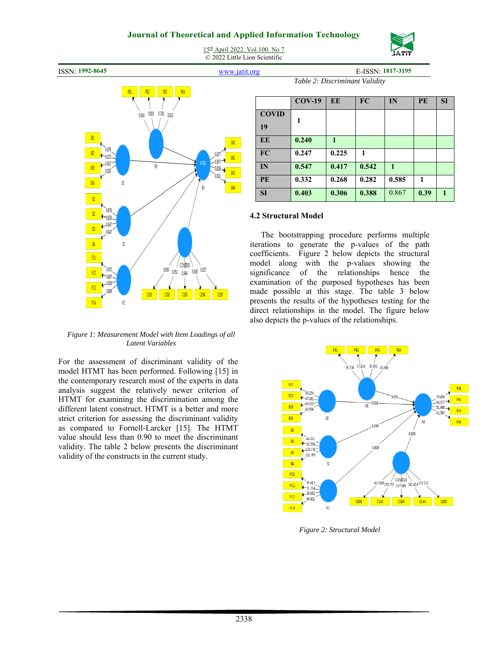# **Journal of Theoretical and Applied Information Technology**  15th April 2022. Vol.100. No 7

© 2022 Little Lion Scientific







*Figure 1: Measurement Model with Item Loadings of all Latent Variables* 

For the assessment of discriminant validity of the model HTMT has been performed. Following [15] in the contemporary research most of the experts in data analysis suggest the relatively newer criterion of HTMT for examining the discrimination among the different latent construct. HTMT is a better and more strict criterion for assessing the discriminant validity as compared to Fornell-Larcker [15]. The HTMT value should less than 0.90 to meet the discriminant validity. The table 2 below presents the discriminant validity of the constructs in the current study.

*Table 2: Discriminant Validity* 

|                    | $COV-19$ | EE           | FC    | IN           | PE           | <b>SI</b>    |
|--------------------|----------|--------------|-------|--------------|--------------|--------------|
| <b>COVID</b><br>19 | 1        |              |       |              |              |              |
| EE                 | 0.240    | $\mathbf{1}$ |       |              |              |              |
| FC                 | 0.247    | 0.225        | 1     |              |              |              |
| IN                 | 0.547    | 0.417        | 0.542 | $\mathbf{1}$ |              |              |
| <b>PE</b>          | 0.332    | 0.268        | 0.282 | 0.585        | $\mathbf{1}$ |              |
| SI                 | 0.403    | 0.306        | 0.388 | 0.867        | 0.39         | $\mathbf{1}$ |

#### **4.2 Structural Model**

The bootstrapping procedure performs multiple iterations to generate the p-values of the path coefficients. Figure 2 below depicts the structural model along with the p-values showing the significance of the relationships hence the examination of the purposed hypotheses has been made possible at this stage. The table 3 below presents the results of the hypotheses testing for the direct relationships in the model. The figure below also depicts the p-values of the relationships.



*Figure 2: Structural Model*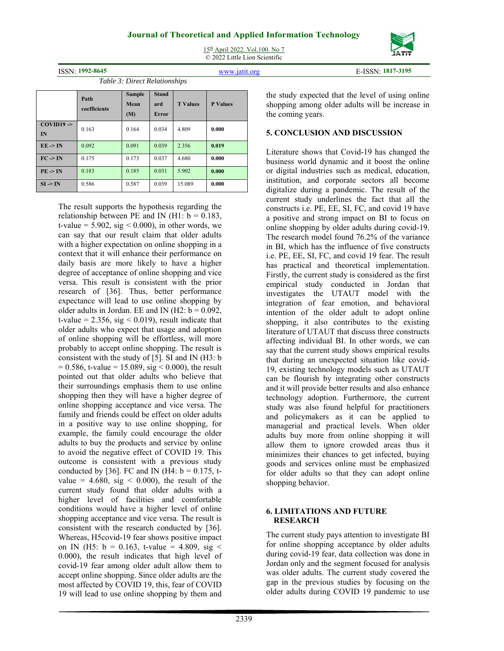15th April 2022. Vol.100. No 7 © 2022 Little Lion Scientific



ISSN: **1992-8645** www.jatit.org E-ISSN: **1817-3195**

*Table 3: Direct Relationships* 

|                               | Path<br>coefficients | <b>Sample</b><br>Mean<br>(M) | <b>Stand</b><br>ard<br><b>Error</b> | <b>T</b> Values | <b>P</b> Values |
|-------------------------------|----------------------|------------------------------|-------------------------------------|-----------------|-----------------|
| $COVID19$ $\rightarrow$<br>IN | 0.163                | 0.164                        | 0.034                               | 4.809           | 0.000           |
| $EE \rightarrow IN$           | 0.092                | 0.091                        | 0.039                               | 2.356           | 0.019           |
| $FC \rightarrow IN$           | 0.175                | 0.173                        | 0.037                               | 4.680           | 0.000           |
| $PE \rightarrow IN$           | 0.183                | 0.185                        | 0.031                               | 5.902           | 0.000           |
| $SI \rightarrow IN$           | 0.586                | 0.587                        | 0.039                               | 15.089          | 0.000           |

The result supports the hypothesis regarding the relationship between PE and IN (H1:  $b = 0.183$ , t-value =  $5.902$ , sig < 0.000), in other words, we can say that our result claim that older adults with a higher expectation on online shopping in a context that it will enhance their performance on daily basis are more likely to have a higher degree of acceptance of online shopping and vice versa. This result is consistent with the prior research of [36]. Thus, better performance expectance will lead to use online shopping by older adults in Jordan. EE and IN (H2:  $b = 0.092$ , t-value =  $2.356$ , sig < 0.019), result indicate that older adults who expect that usage and adoption of online shopping will be effortless, will more probably to accept online shopping. The result is consistent with the study of [5]. SI and IN (H3: b  $= 0.586$ , t-value  $= 15.089$ , sig  $\le 0.000$ ), the result pointed out that older adults who believe that their surroundings emphasis them to use online shopping then they will have a higher degree of online shopping acceptance and vice versa. The family and friends could be effect on older adults in a positive way to use online shopping, for example, the family could encourage the older adults to buy the products and service by online to avoid the negative effect of COVID 19. This outcome is consistent with a previous study conducted by [36]. FC and IN (H4:  $b = 0.175$ , tvalue =  $4.680$ , sig < 0.000), the result of the current study found that older adults with a higher level of facilities and comfortable conditions would have a higher level of online shopping acceptance and vice versa. The result is consistent with the research conducted by [36]. Whereas, H5covid-19 fear shows positive impact on IN (H5:  $b = 0.163$ , t-value = 4.809, sig < 0.000), the result indicates that high level of covid-19 fear among older adult allow them to accept online shopping. Since older adults are the most affected by COVID 19, this, fear of COVID 19 will lead to use online shopping by them and

the study expected that the level of using online shopping among older adults will be increase in the coming years.

# **5. CONCLUSION AND DISCUSSION**

Literature shows that Covid-19 has changed the business world dynamic and it boost the online or digital industries such as medical, education, institution, and corporate sectors all become digitalize during a pandemic. The result of the current study underlines the fact that all the constructs i.e. PE, EE, SI, FC, and covid 19 have a positive and strong impact on BI to focus on online shopping by older adults during covid-19. The research model found 76.2% of the variance in BI, which has the influence of five constructs i.e. PE, EE, SI, FC, and covid 19 fear. The result has practical and theoretical implementation. Firstly, the current study is considered as the first empirical study conducted in Jordan that investigates the UTAUT model with the integration of fear emotion, and behavioral intention of the older adult to adopt online shopping, it also contributes to the existing literature of UTAUT that discuss three constructs affecting individual BI. In other words, we can say that the current study shows empirical results that during an unexpected situation like covid-19, existing technology models such as UTAUT can be flourish by integrating other constructs and it will provide better results and also enhance technology adoption. Furthermore, the current study was also found helpful for practitioners and policymakers as it can be applied to managerial and practical levels. When older adults buy more from online shopping it will allow them to ignore crowded areas thus it minimizes their chances to get infected, buying goods and services online must be emphasized for older adults so that they can adopt online shopping behavior.

#### **6. LIMITATIONS AND FUTURE RESEARCH**

The current study pays attention to investigate BI for online shopping acceptance by older adults during covid-19 fear, data collection was done in Jordan only and the segment focused for analysis was older adults. The current study covered the gap in the previous studies by focusing on the older adults during COVID 19 pandemic to use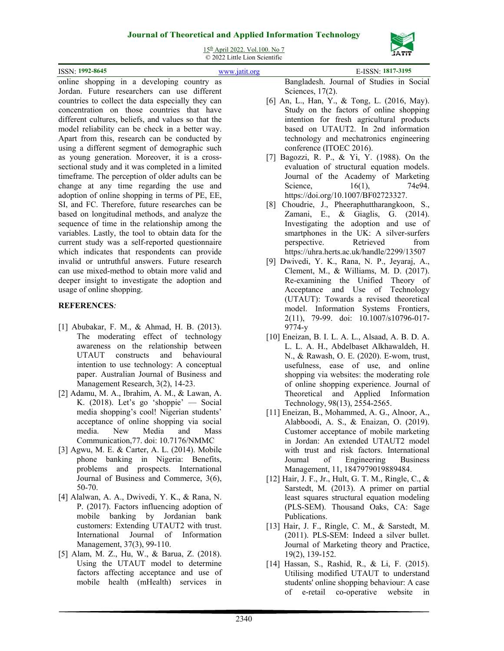

15th April 2022. Vol.100. No 7

© 2022 Little Lion Scientific

|                                                                                                                | $\odot$ 2022 Little Lion Scientific                                                                |
|----------------------------------------------------------------------------------------------------------------|----------------------------------------------------------------------------------------------------|
| <b>ISSN: 1992-8645</b>                                                                                         | E-ISSN: 1817-3195<br>www.jatit.org                                                                 |
| online shopping in a developing country as                                                                     | Bangladesh. Journal of Studies in Social                                                           |
| Jordan. Future researchers can use different                                                                   | Sciences, $17(2)$ .                                                                                |
| a constant contra la constitución de la constante de la contra de la construcción de la constitución de la con | $\lceil \ell \rceil$ A $\alpha$ I II. $\alpha$ V $\ell$ T <sub>rue</sub> I (2016 M <sub>ax</sub> ) |

- [6] An, L., Han, Y., & Tong, L. (2016, May). Study on the factors of online shopping intention for fresh agricultural products based on UTAUT2. In 2nd information technology and mechatronics engineering conference (ITOEC 2016).
	- [7] Bagozzi, R. P., & Yi, Y. (1988). On the evaluation of structural equation models. Journal of the Academy of Marketing Science, 16(1), 74e94. https://doi.org/10.1007/BF02723327.
	- [8] Choudrie, J., Pheeraphuttharangkoon, S., Zamani, E., & Giaglis, G. (2014). Investigating the adoption and use of smartphones in the UK: A silver-surfers perspective. Retrieved from https://uhra.herts.ac.uk/handle/2299/13507
	- [9] Dwivedi, Y. K., Rana, N. P., Jeyaraj, A., Clement, M., & Williams, M. D. (2017). Re-examining the Unified Theory of Acceptance and Use of Technology (UTAUT): Towards a revised theoretical model. Information Systems Frontiers, 2(11), 79-99. doi: 10.1007/s10796-017- 9774-y
	- [10] Eneizan, B. I. L. A. L., Alsaad, A. B. D. A. L. L. A. H., Abdelbaset Alkhawaldeh, H. N., & Rawash, O. E. (2020). E-wom, trust, usefulness, ease of use, and online shopping via websites: the moderating role of online shopping experience. Journal of Theoretical and Applied Information Technology, 98(13), 2554-2565.
	- [11] Eneizan, B., Mohammed, A. G., Alnoor, A., Alabboodi, A. S., & Enaizan, O. (2019). Customer acceptance of mobile marketing in Jordan: An extended UTAUT2 model with trust and risk factors. International Journal of Engineering Business Management, 11, 1847979019889484.
	- [12] Hair, J. F., Jr., Hult, G. T. M., Ringle, C., & Sarstedt, M. (2013). A primer on partial least squares structural equation modeling (PLS-SEM). Thousand Oaks, CA: Sage Publications.
	- [13] Hair, J. F., Ringle, C. M., & Sarstedt, M. (2011). PLS-SEM: Indeed a silver bullet. Journal of Marketing theory and Practice, 19(2), 139-152.
	- [14] Hassan, S., Rashid, R., & Li, F. (2015). Utilising modified UTAUT to understand students' online shopping behaviour: A case of e-retail co-operative website in

countries to collect the data especially they can concentration on those countries that have different cultures, beliefs, and values so that the model reliability can be check in a better way. Apart from this, research can be conducted by using a different segment of demographic such as young generation. Moreover, it is a crosssectional study and it was completed in a limited timeframe. The perception of older adults can be change at any time regarding the use and adoption of online shopping in terms of PE, EE, SI, and FC. Therefore, future researches can be based on longitudinal methods, and analyze the sequence of time in the relationship among the variables. Lastly, the tool to obtain data for the current study was a self-reported questionnaire which indicates that respondents can provide invalid or untruthful answers. Future research can use mixed-method to obtain more valid and deeper insight to investigate the adoption and usage of online shopping.

# **REFERENCES***:*

- [1] Abubakar, F. M., & Ahmad, H. B. (2013). The moderating effect of technology awareness on the relationship between UTAUT constructs and behavioural intention to use technology: A conceptual paper. Australian Journal of Business and Management Research, 3(2), 14-23.
- [2] Adamu, M. A., Ibrahim, A. M., & Lawan, A. K. (2018). Let's go 'shoppie' — Social media shopping's cool! Nigerian students' acceptance of online shopping via social media. New Media and Mass Communication,77. doi: 10.7176/NMMC
- [3] Agwu, M. E. & Carter, A. L. (2014). Mobile phone banking in Nigeria: Benefits, problems and prospects. International Journal of Business and Commerce, 3(6), 50-70.
- [4] Alalwan, A. A., Dwivedi, Y. K., & Rana, N. P. (2017). Factors influencing adoption of mobile banking by Jordanian bank customers: Extending UTAUT2 with trust. International Journal of Information Management, 37(3), 99-110.
- [5] Alam, M. Z., Hu, W., & Barua, Z. (2018). Using the UTAUT model to determine factors affecting acceptance and use of mobile health (mHealth) services in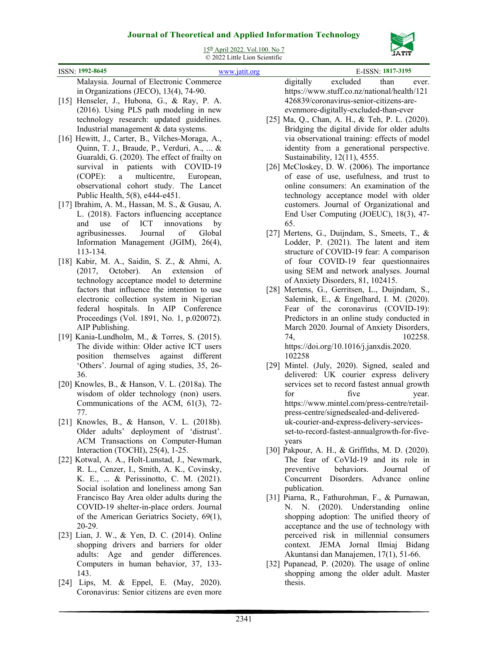

15th April 2022. Vol.100. No 7

|                                                                                      | © 2022 Little Lion Scientific |      | ,,,,,,                                          |
|--------------------------------------------------------------------------------------|-------------------------------|------|-------------------------------------------------|
| ISSN: 1992-8645                                                                      | www.jatit.org                 |      | E-ISSN: 1817-3195                               |
| Malaysia. Journal of Electronic Commerce                                             |                               |      | excluded<br>digitally<br>than<br>ever.          |
| in Organizations (JECO), 13(4), 74-90.                                               |                               |      | https://www.stuff.co.nz/national/health/121     |
| [15] Henseler, J., Hubona, G., & Ray, P. A.                                          |                               |      | 426839/coronavirus-senior-citizens-are-         |
| (2016). Using PLS path modeling in new                                               |                               |      | evenmore-digitally-excluded-than-ever           |
| technology research: updated guidelines.                                             |                               |      | [25] Ma, Q., Chan, A. H., & Teh, P. L. (2020).  |
| Industrial management & data systems.                                                |                               |      | Bridging the digital divide for older adults    |
| [16] Hewitt, J., Carter, B., Vilches-Moraga, A.,                                     |                               |      | via observational training: effects of model    |
| Quinn, T. J., Braude, P., Verduri, A.,  &                                            |                               |      | identity from a generational perspective.       |
| Guaraldi, G. (2020). The effect of frailty on                                        |                               |      | Sustainability, 12(11), 4555.                   |
| survival in patients with COVID-19                                                   |                               |      | [26] McCloskey, D. W. (2006). The importance    |
| multicentre,<br>$(COPE)$ :<br>European,<br>$\mathbf{a}$                              |                               |      | of ease of use, usefulness, and trust to        |
| observational cohort study. The Lancet                                               |                               |      | online consumers: An examination of the         |
| Public Health, 5(8), e444-e451.                                                      |                               |      | technology acceptance model with older          |
| [17] Ibrahim, A. M., Hassan, M. S., & Gusau, A.                                      |                               |      | customers. Journal of Organizational and        |
| L. (2018). Factors influencing acceptance                                            |                               |      | End User Computing (JOEUC), 18(3), 47-          |
| of<br>ICT<br>innovations<br>and<br>use                                               | by                            |      | 65.                                             |
| Journal<br>agribusinesses.<br>of                                                     | Global                        |      | [27] Mertens, G., Duijndam, S., Smeets, T., &   |
| Information Management (JGIM), 26(4),                                                |                               |      | Lodder, P. (2021). The latent and item          |
| 113-134.                                                                             |                               |      | structure of COVID-19 fear: A comparison        |
| [18] Kabir, M. A., Saidin, S. Z., & Ahmi, A.                                         |                               |      | of four COVID-19 fear questionnaires            |
| October).<br>An<br>extension<br>(2017,                                               | of                            |      | using SEM and network analyses. Journal         |
| technology acceptance model to determine                                             |                               |      | of Anxiety Disorders, 81, 102415.               |
| factors that influence the intention to use                                          |                               |      | [28] Mertens, G., Gerritsen, L., Duijndam, S.,  |
| electronic collection system in Nigerian                                             |                               |      | Salemink, E., & Engelhard, I. M. (2020).        |
| federal hospitals. In AIP Conference                                                 |                               |      | Fear of the coronavirus (COVID-19):             |
| Proceedings (Vol. 1891, No. 1, p.020072).                                            |                               |      | Predictors in an online study conducted in      |
| AIP Publishing.                                                                      |                               |      | March 2020. Journal of Anxiety Disorders,       |
| [19] Kania-Lundholm, M., & Torres, S. (2015).                                        |                               |      | 102258.<br>74,                                  |
| The divide within: Older active ICT users                                            |                               |      | https://doi.org/10.1016/j.janxdis.2020.         |
| position themselves against different                                                |                               |      | 102258                                          |
| 'Others'. Journal of aging studies, 35, 26-                                          |                               | [29] | Mintel. (July, 2020). Signed, sealed and        |
| 36.                                                                                  |                               |      | delivered: UK courier express delivery          |
| [20] Knowles, B., & Hanson, V. L. (2018a). The                                       |                               |      | services set to record fastest annual growth    |
| wisdom of older technology (non) users.                                              |                               |      | five<br>for<br>year.                            |
| Communications of the ACM, 61(3), 72-                                                |                               |      | https://www.mintel.com/press-centre/retail-     |
| 77.                                                                                  |                               |      | press-centre/signedsealed-and-delivered-        |
| [21] Knowles, B., & Hanson, V. L. (2018b).                                           |                               |      | uk-courier-and-express-delivery-services-       |
| Older adults' deployment of 'distrust'.                                              |                               |      | set-to-record-fastest-annualgrowth-for-five-    |
| ACM Transactions on Computer-Human                                                   |                               |      | years                                           |
| Interaction (TOCHI), 25(4), 1-25.                                                    |                               |      | [30] Pakpour, A. H., & Griffiths, M. D. (2020). |
| [22] Kotwal, A. A., Holt-Lunstad, J., Newmark,                                       |                               |      | The fear of CoVId-19 and its role in            |
| R. L., Cenzer, I., Smith, A. K., Covinsky,                                           |                               |      | behaviors.<br>preventive<br>Journal<br>οf       |
| K. E.,  & Perissinotto, C. M. (2021).                                                |                               |      | Concurrent Disorders. Advance online            |
| Social isolation and loneliness among San                                            |                               |      | publication.                                    |
| Francisco Bay Area older adults during the                                           |                               |      | [31] Piarna, R., Fathurohman, F., & Purnawan,   |
| COVID-19 shelter-in-place orders. Journal                                            |                               |      | N. N. (2020). Understanding online              |
| of the American Geriatrics Society, 69(1),                                           |                               |      | shopping adoption: The unified theory of        |
| 20-29.                                                                               |                               |      | acceptance and the use of technology with       |
| [23] Lian, J. W., & Yen, D. C. (2014). Online                                        |                               |      | perceived risk in millennial consumers          |
| shopping drivers and barriers for older                                              |                               |      | context. JEMA Jornal Ilmiaj Bidang              |
| adults: Age and gender differences.                                                  |                               |      | Akuntansi dan Manajemen, 17(1), 51-66.          |
| Computers in human behavior, 37, 133-                                                |                               |      | [32] Pupanead, P. (2020). The usage of online   |
| 143.                                                                                 |                               |      | shopping among the older adult. Master          |
| [24] Lips, M. & Eppel, E. (May, 2020).<br>Coronavirus: Senior citizens are even more |                               |      | thesis.                                         |